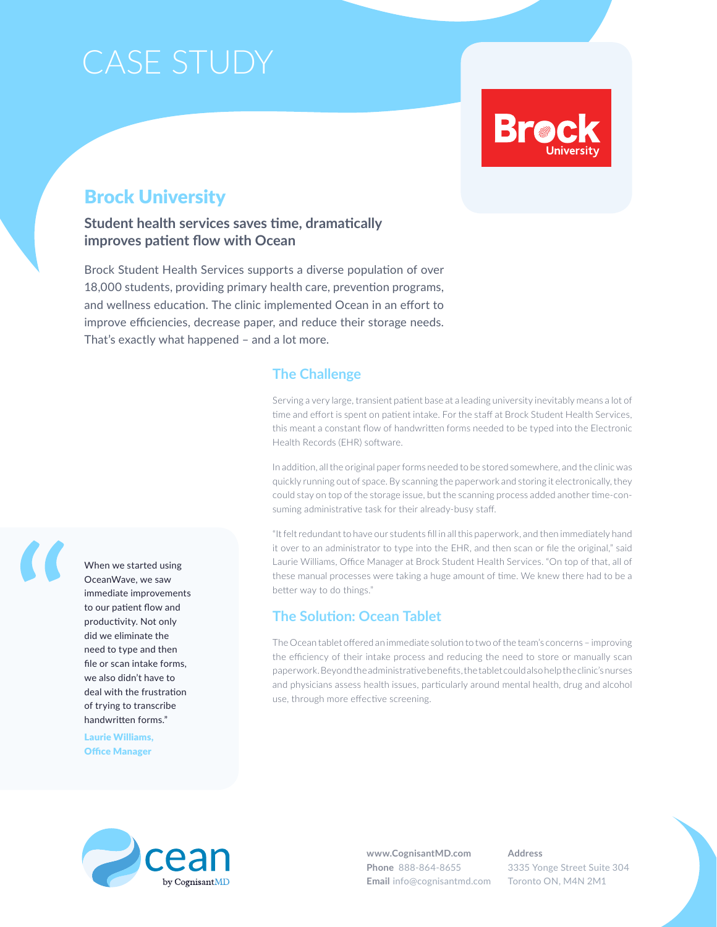### Case Study

# **Brod**

### Brock University

### **Student health services saves time, dramatically improves patient flow with Ocean**

Brock Student Health Services supports a diverse population of over 18,000 students, providing primary health care, prevention programs, and wellness education. The clinic implemented Ocean in an effort to improve efficiencies, decrease paper, and reduce their storage needs. That's exactly what happened – and a lot more.

### **The Challenge**

Serving a very large, transient patient base at a leading university inevitably means a lot of time and effort is spent on patient intake. For the staff at Brock Student Health Services, this meant a constant flow of handwritten forms needed to be typed into the Electronic Health Records (EHR) software.

In addition, all the original paper forms needed to be stored somewhere, and the clinic was quickly running out of space. By scanning the paperwork and storing it electronically, they could stay on top of the storage issue, but the scanning process added another time-consuming administrative task for their already-busy staff.

"It felt redundant to have our students fill in all this paperwork, and then immediately hand it over to an administrator to type into the EHR, and then scan or file the original," said Laurie Williams, Office Manager at Brock Student Health Services. "On top of that, all of these manual processes were taking a huge amount of time. We knew there had to be a better way to do things."

### **The Solution: Ocean Tablet**

The Ocean tablet offered an immediate solution to two of the team's concerns – improving the efficiency of their intake process and reducing the need to store or manually scan paperwork. Beyond the administrative benefits, the tablet could also help the clinic's nurses and physicians assess health issues, particularly around mental health, drug and alcohol use, through more effective screening.



When we started using OceanWave, we saw immediate improvements to our patient flow and productivity. Not only did we eliminate the need to type and then file or scan intake forms, we also didn't have to deal with the frustration of trying to transcribe handwritten forms."

Laurie Williams, Office Manager



**www.CognisantMD.com Phone** 888-864-8655 **Email** info@cognisantmd.com **Address** 3335 Yonge Street Suite 304 Toronto ON, M4N 2M1